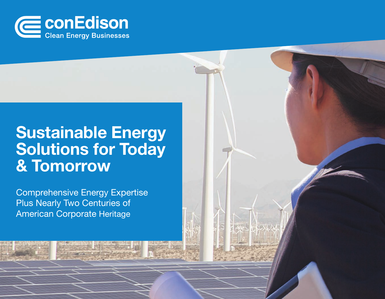

### **Sustainable Energy** Solutions for Today & Tomorrow

Comprehensive Energy Expertise Plus Nearly Two Centuries of American Corporate Heritage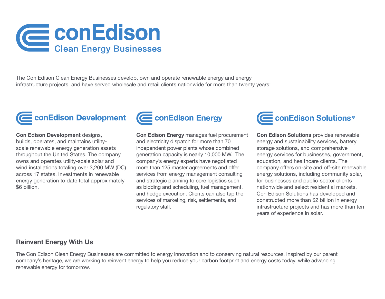

The Con Edison Clean Energy Businesses develop, own and operate renewable energy and energy infrastructure projects, and have served wholesale and retail clients nationwide for more than twenty years:



Con Edison Development designs, builds, operates, and maintains utilityscale renewable energy generation assets throughout the United States. The company owns and operates utility-scale solar and wind installations totaling over 3,200 MW (DC) across 17 states. Investments in renewable energy generation to date total approximately \$6 billion.



Con Edison Energy manages fuel procurement and electricity dispatch for more than 70 independent power plants whose combined generation capacity is nearly 10,000 MW. The company's energy experts have negotiated more than 125 master agreements and offer services from energy management consulting and strategic planning to core logistics such as bidding and scheduling, fuel management, and hedge execution. Clients can also tap the services of marketing, risk, settlements, and regulatory staff.



Con Edison Solutions provides renewable energy and sustainability services, battery storage solutions, and comprehensive energy services for businesses, government, education, and healthcare clients. The company offers on-site and off-site renewable energy solutions, including community solar, for businesses and public-sector clients nationwide and select residential markets. Con Edison Solutions has developed and constructed more than \$2 billion in energy infrastructure projects and has more than ten years of experience in solar.

#### Reinvent Energy With Us

The Con Edison Clean Energy Businesses are committed to energy innovation and to conserving natural resources. Inspired by our parent company's heritage, we are working to reinvent energy to help you reduce your carbon footprint and energy costs today, while advancing renewable energy for tomorrow.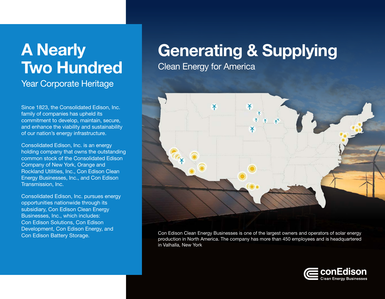# A Nearly Two Hundred

Year Corporate Heritage

Since 1823, the Consolidated Edison, Inc. family of companies has upheld its commitment to develop, maintain, secure, and enhance the viability and sustainability of our nation's energy infrastructure.

Consolidated Edison, Inc. is an energy holding company that owns the outstanding common stock of the Consolidated Edison Company of New York, Orange and Rockland Utilities, Inc., Con Edison Clean Energy Businesses, Inc., and Con Edison Transmission, Inc.

Consolidated Edison, Inc. pursues energy opportunities nationwide through its subsidiary, Con Edison Clean Energy Businesses, Inc., which includes: Con Edison Solutions, Con Edison Development, Con Edison Energy, and Con Edison Battery Storage.

## Generating & Supplying

Clean Energy for America



Con Edison Clean Energy Businesses is one of the largest owners and operators of solar energy production in North America. The company has more than 450 employees and is headquartered in Valhalla, New York